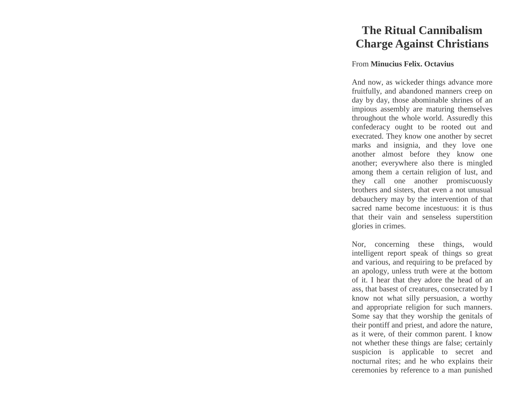## **The Ritual Cannibalism Charge Against Christians**

## From **Minucius Felix. Octavius**

And now, as wickeder things advance more fruitfully, and abandoned manners creep on day by day, those abominable shrines of an impious assembly are maturing themselves throughout the whole world. Assuredly this confederacy ought to be rooted out and execrated. They know one another by secret marks and insignia, and they love one another almost before they know one another; everywhere also there is mingled among them a certain religion of lust, and they call one another promiscuously brothers and sisters, that even a not unusual debauchery may by the intervention of that sacred name become incestuous: it is thus that their vain and senseless superstition glories in crimes.

Nor, concerning these things, would intelligent report speak of things so great and various, and requiring to be prefaced by an apology, unless truth were at the bottom of it. I hear that they adore the head of an ass, that basest of creatures, consecrated by I know not what silly persuasion, a worthy and appropriate religion for such manners. Some say that they worship the genitals of their pontiff and priest, and adore the nature, as it were, of their common parent. I know not whether these things are false; certainly suspicion is applicable to secret and nocturnal rites; and he who explains their ceremonies by reference to a man punished